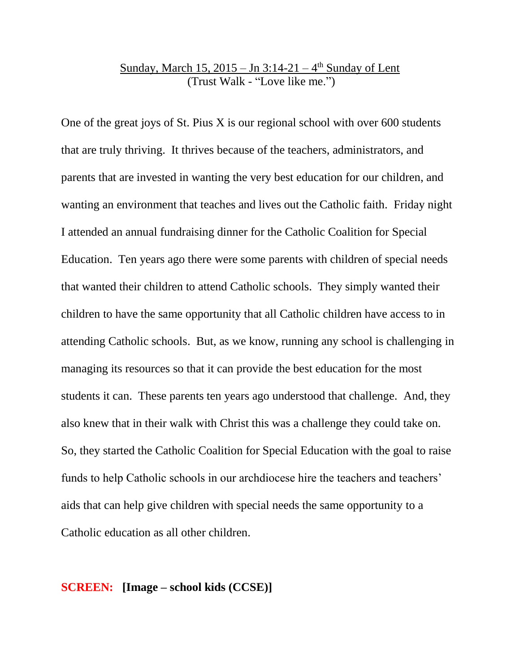## Sunday, March 15, 2015 – Jn 3:14-21 – 4<sup>th</sup> Sunday of Lent (Trust Walk - "Love like me.")

One of the great joys of St. Pius X is our regional school with over 600 students that are truly thriving. It thrives because of the teachers, administrators, and parents that are invested in wanting the very best education for our children, and wanting an environment that teaches and lives out the Catholic faith. Friday night I attended an annual fundraising dinner for the Catholic Coalition for Special Education. Ten years ago there were some parents with children of special needs that wanted their children to attend Catholic schools. They simply wanted their children to have the same opportunity that all Catholic children have access to in attending Catholic schools. But, as we know, running any school is challenging in managing its resources so that it can provide the best education for the most students it can. These parents ten years ago understood that challenge. And, they also knew that in their walk with Christ this was a challenge they could take on. So, they started the Catholic Coalition for Special Education with the goal to raise funds to help Catholic schools in our archdiocese hire the teachers and teachers' aids that can help give children with special needs the same opportunity to a Catholic education as all other children.

### **SCREEN: [Image – school kids (CCSE)]**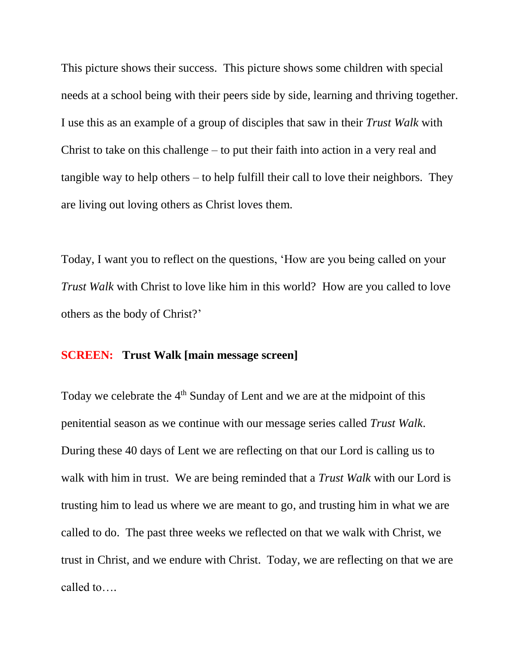This picture shows their success. This picture shows some children with special needs at a school being with their peers side by side, learning and thriving together. I use this as an example of a group of disciples that saw in their *Trust Walk* with Christ to take on this challenge – to put their faith into action in a very real and tangible way to help others – to help fulfill their call to love their neighbors. They are living out loving others as Christ loves them.

Today, I want you to reflect on the questions, 'How are you being called on your *Trust Walk* with Christ to love like him in this world? How are you called to love others as the body of Christ?'

### **SCREEN: Trust Walk [main message screen]**

Today we celebrate the  $4<sup>th</sup>$  Sunday of Lent and we are at the midpoint of this penitential season as we continue with our message series called *Trust Walk*. During these 40 days of Lent we are reflecting on that our Lord is calling us to walk with him in trust. We are being reminded that a *Trust Walk* with our Lord is trusting him to lead us where we are meant to go, and trusting him in what we are called to do. The past three weeks we reflected on that we walk with Christ, we trust in Christ, and we endure with Christ. Today, we are reflecting on that we are called to….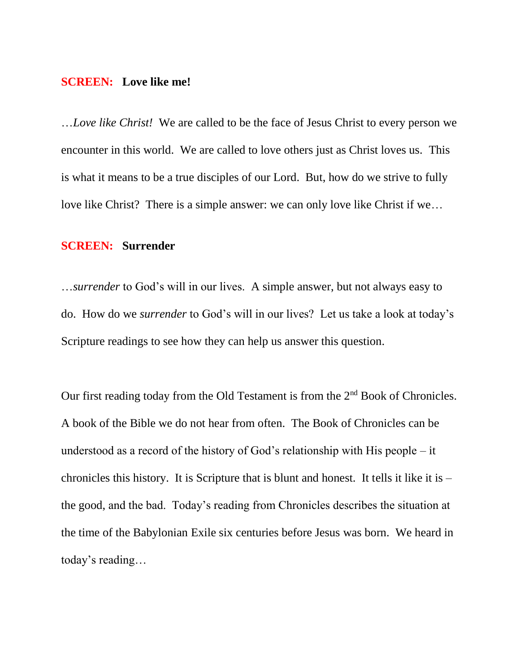#### **SCREEN: Love like me!**

…*Love like Christ!* We are called to be the face of Jesus Christ to every person we encounter in this world. We are called to love others just as Christ loves us. This is what it means to be a true disciples of our Lord. But, how do we strive to fully love like Christ? There is a simple answer: we can only love like Christ if we…

#### **SCREEN: Surrender**

…*surrender* to God's will in our lives. A simple answer, but not always easy to do. How do we *surrender* to God's will in our lives? Let us take a look at today's Scripture readings to see how they can help us answer this question.

Our first reading today from the Old Testament is from the  $2<sup>nd</sup>$  Book of Chronicles. A book of the Bible we do not hear from often. The Book of Chronicles can be understood as a record of the history of God's relationship with His people – it chronicles this history. It is Scripture that is blunt and honest. It tells it like it is – the good, and the bad. Today's reading from Chronicles describes the situation at the time of the Babylonian Exile six centuries before Jesus was born. We heard in today's reading…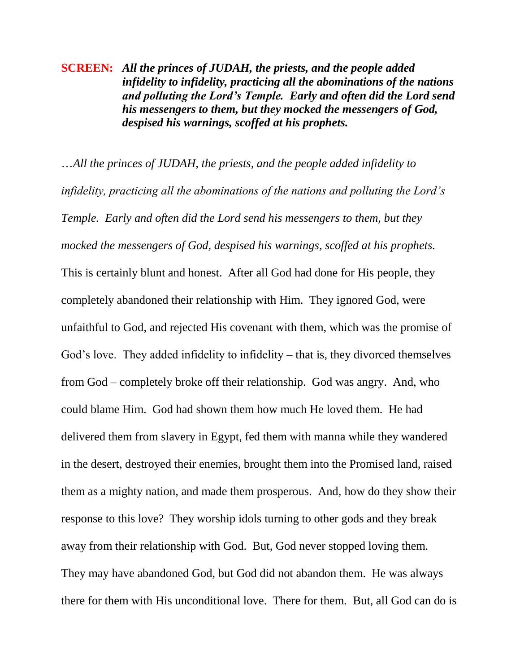**SCREEN:** *All the princes of JUDAH, the priests, and the people added infidelity to infidelity, practicing all the abominations of the nations and polluting the Lord's Temple. Early and often did the Lord send his messengers to them, but they mocked the messengers of God, despised his warnings, scoffed at his prophets.*

…*All the princes of JUDAH, the priests, and the people added infidelity to infidelity, practicing all the abominations of the nations and polluting the Lord's Temple. Early and often did the Lord send his messengers to them, but they mocked the messengers of God, despised his warnings, scoffed at his prophets.* This is certainly blunt and honest. After all God had done for His people, they completely abandoned their relationship with Him. They ignored God, were unfaithful to God, and rejected His covenant with them, which was the promise of God's love. They added infidelity to infidelity – that is, they divorced themselves from God – completely broke off their relationship. God was angry. And, who could blame Him. God had shown them how much He loved them. He had delivered them from slavery in Egypt, fed them with manna while they wandered in the desert, destroyed their enemies, brought them into the Promised land, raised them as a mighty nation, and made them prosperous. And, how do they show their response to this love? They worship idols turning to other gods and they break away from their relationship with God. But, God never stopped loving them. They may have abandoned God, but God did not abandon them. He was always there for them with His unconditional love. There for them. But, all God can do is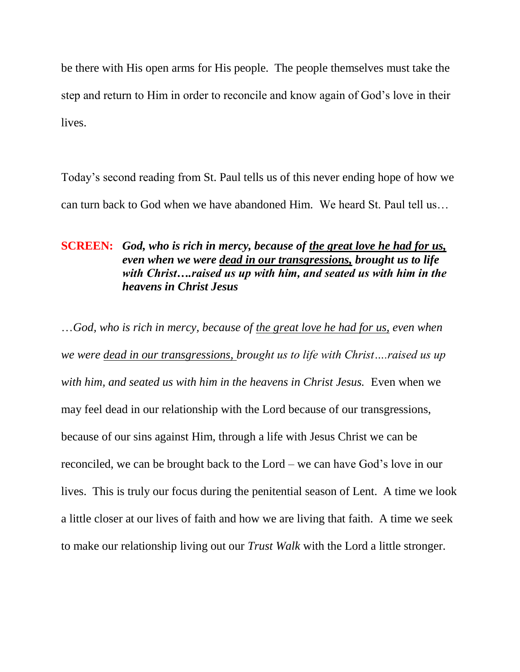be there with His open arms for His people. The people themselves must take the step and return to Him in order to reconcile and know again of God's love in their lives.

Today's second reading from St. Paul tells us of this never ending hope of how we can turn back to God when we have abandoned Him. We heard St. Paul tell us…

# **SCREEN:** *God, who is rich in mercy, because of the great love he had for us, even when we were dead in our transgressions, brought us to life with Christ….raised us up with him, and seated us with him in the heavens in Christ Jesus*

…*God, who is rich in mercy, because of the great love he had for us, even when we were dead in our transgressions, brought us to life with Christ….raised us up*  with him, and seated us with him in the heavens in Christ Jesus. Even when we may feel dead in our relationship with the Lord because of our transgressions, because of our sins against Him, through a life with Jesus Christ we can be reconciled, we can be brought back to the Lord – we can have God's love in our lives. This is truly our focus during the penitential season of Lent. A time we look a little closer at our lives of faith and how we are living that faith. A time we seek to make our relationship living out our *Trust Walk* with the Lord a little stronger.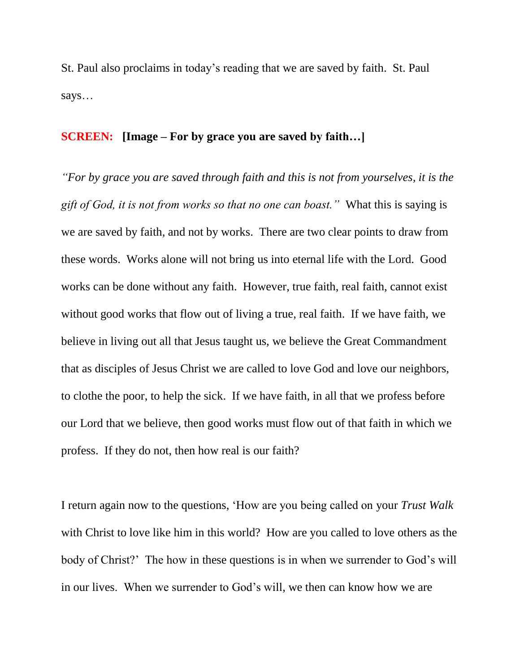St. Paul also proclaims in today's reading that we are saved by faith. St. Paul says…

# **SCREEN: [Image – For by grace you are saved by faith…]**

*"For by grace you are saved through faith and this is not from yourselves, it is the gift of God, it is not from works so that no one can boast."* What this is saying is we are saved by faith, and not by works. There are two clear points to draw from these words. Works alone will not bring us into eternal life with the Lord. Good works can be done without any faith. However, true faith, real faith, cannot exist without good works that flow out of living a true, real faith. If we have faith, we believe in living out all that Jesus taught us, we believe the Great Commandment that as disciples of Jesus Christ we are called to love God and love our neighbors, to clothe the poor, to help the sick. If we have faith, in all that we profess before our Lord that we believe, then good works must flow out of that faith in which we profess. If they do not, then how real is our faith?

I return again now to the questions, 'How are you being called on your *Trust Walk*  with Christ to love like him in this world? How are you called to love others as the body of Christ?' The how in these questions is in when we surrender to God's will in our lives. When we surrender to God's will, we then can know how we are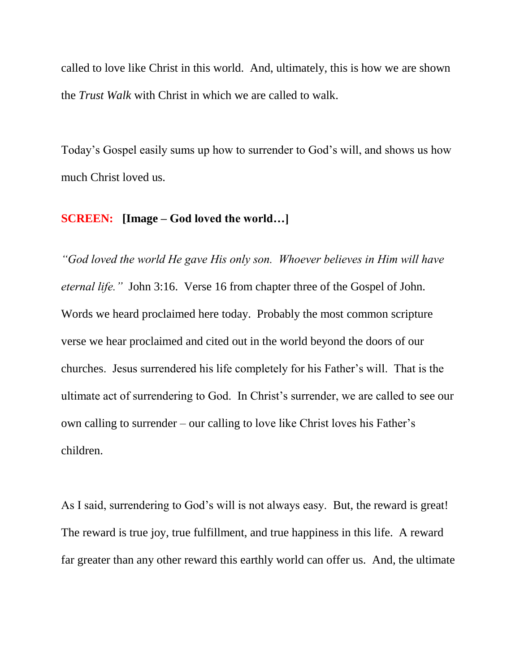called to love like Christ in this world. And, ultimately, this is how we are shown the *Trust Walk* with Christ in which we are called to walk.

Today's Gospel easily sums up how to surrender to God's will, and shows us how much Christ loved us.

### **SCREEN: [Image – God loved the world…]**

*"God loved the world He gave His only son. Whoever believes in Him will have eternal life."* John 3:16. Verse 16 from chapter three of the Gospel of John. Words we heard proclaimed here today. Probably the most common scripture verse we hear proclaimed and cited out in the world beyond the doors of our churches. Jesus surrendered his life completely for his Father's will. That is the ultimate act of surrendering to God. In Christ's surrender, we are called to see our own calling to surrender – our calling to love like Christ loves his Father's children.

As I said, surrendering to God's will is not always easy. But, the reward is great! The reward is true joy, true fulfillment, and true happiness in this life. A reward far greater than any other reward this earthly world can offer us. And, the ultimate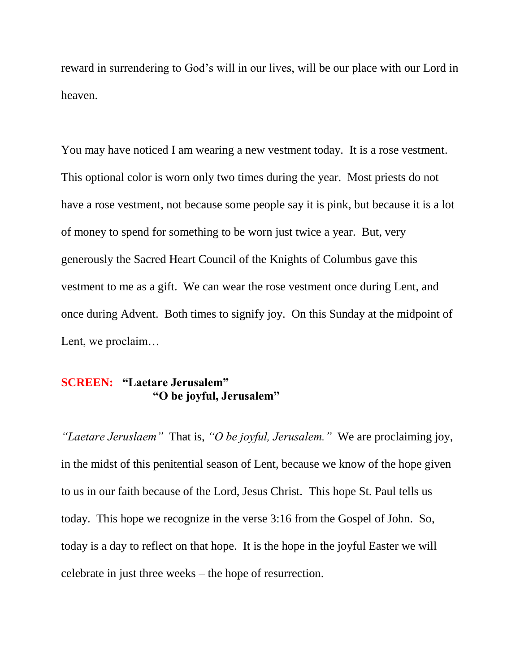reward in surrendering to God's will in our lives, will be our place with our Lord in heaven.

You may have noticed I am wearing a new vestment today. It is a rose vestment. This optional color is worn only two times during the year. Most priests do not have a rose vestment, not because some people say it is pink, but because it is a lot of money to spend for something to be worn just twice a year. But, very generously the Sacred Heart Council of the Knights of Columbus gave this vestment to me as a gift. We can wear the rose vestment once during Lent, and once during Advent. Both times to signify joy. On this Sunday at the midpoint of Lent, we proclaim…

## **SCREEN: "Laetare Jerusalem" "O be joyful, Jerusalem"**

*"Laetare Jeruslaem"* That is, *"O be joyful, Jerusalem."* We are proclaiming joy, in the midst of this penitential season of Lent, because we know of the hope given to us in our faith because of the Lord, Jesus Christ. This hope St. Paul tells us today. This hope we recognize in the verse 3:16 from the Gospel of John. So, today is a day to reflect on that hope. It is the hope in the joyful Easter we will celebrate in just three weeks – the hope of resurrection.